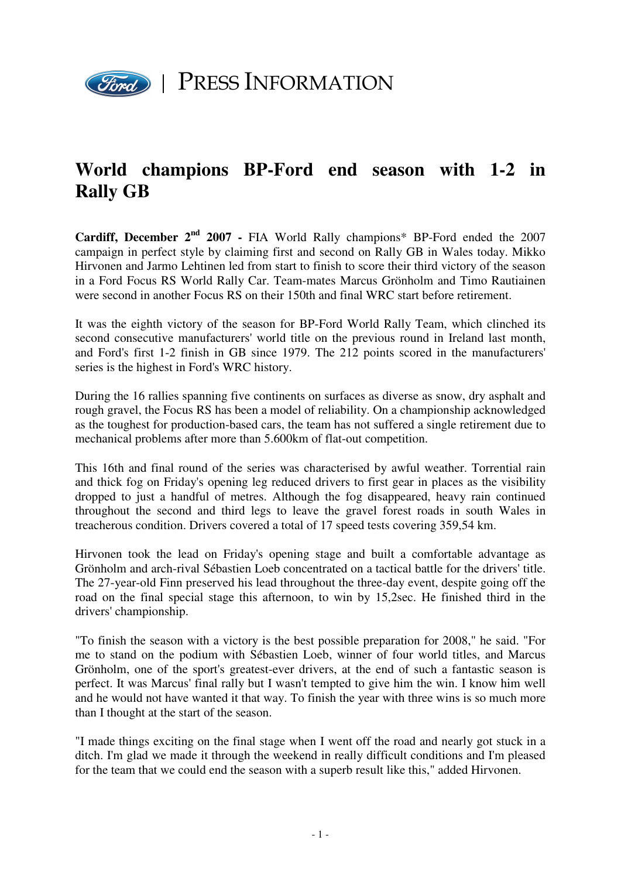

## **World champions BP-Ford end season with 1-2 in Rally GB**

**Cardiff, December 2nd 2007 -** FIA World Rally champions\* BP-Ford ended the 2007 campaign in perfect style by claiming first and second on Rally GB in Wales today. Mikko Hirvonen and Jarmo Lehtinen led from start to finish to score their third victory of the season in a Ford Focus RS World Rally Car. Team-mates Marcus Grönholm and Timo Rautiainen were second in another Focus RS on their 150th and final WRC start before retirement.

It was the eighth victory of the season for BP-Ford World Rally Team, which clinched its second consecutive manufacturers' world title on the previous round in Ireland last month, and Ford's first 1-2 finish in GB since 1979. The 212 points scored in the manufacturers' series is the highest in Ford's WRC history.

During the 16 rallies spanning five continents on surfaces as diverse as snow, dry asphalt and rough gravel, the Focus RS has been a model of reliability. On a championship acknowledged as the toughest for production-based cars, the team has not suffered a single retirement due to mechanical problems after more than 5.600km of flat-out competition.

This 16th and final round of the series was characterised by awful weather. Torrential rain and thick fog on Friday's opening leg reduced drivers to first gear in places as the visibility dropped to just a handful of metres. Although the fog disappeared, heavy rain continued throughout the second and third legs to leave the gravel forest roads in south Wales in treacherous condition. Drivers covered a total of 17 speed tests covering 359,54 km.

Hirvonen took the lead on Friday's opening stage and built a comfortable advantage as Grönholm and arch-rival Sébastien Loeb concentrated on a tactical battle for the drivers' title. The 27-year-old Finn preserved his lead throughout the three-day event, despite going off the road on the final special stage this afternoon, to win by 15,2sec. He finished third in the drivers' championship.

"To finish the season with a victory is the best possible preparation for 2008," he said. "For me to stand on the podium with Sébastien Loeb, winner of four world titles, and Marcus Grönholm, one of the sport's greatest-ever drivers, at the end of such a fantastic season is perfect. It was Marcus' final rally but I wasn't tempted to give him the win. I know him well and he would not have wanted it that way. To finish the year with three wins is so much more than I thought at the start of the season.

"I made things exciting on the final stage when I went off the road and nearly got stuck in a ditch. I'm glad we made it through the weekend in really difficult conditions and I'm pleased for the team that we could end the season with a superb result like this," added Hirvonen.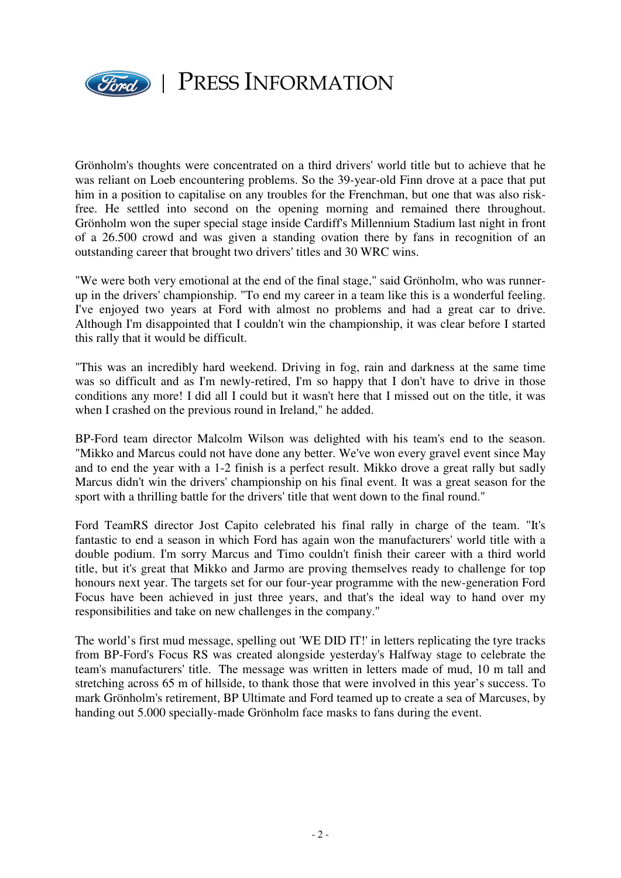

Grönholm's thoughts were concentrated on a third drivers' world title but to achieve that he was reliant on Loeb encountering problems. So the 39-year-old Finn drove at a pace that put him in a position to capitalise on any troubles for the Frenchman, but one that was also riskfree. He settled into second on the opening morning and remained there throughout. Grönholm won the super special stage inside Cardiff's Millennium Stadium last night in front of a 26.500 crowd and was given a standing ovation there by fans in recognition of an outstanding career that brought two drivers' titles and 30 WRC wins.

"We were both very emotional at the end of the final stage," said Grönholm, who was runnerup in the drivers' championship. "To end my career in a team like this is a wonderful feeling. I've enjoyed two years at Ford with almost no problems and had a great car to drive. Although I'm disappointed that I couldn't win the championship, it was clear before I started this rally that it would be difficult.

"This was an incredibly hard weekend. Driving in fog, rain and darkness at the same time was so difficult and as I'm newly-retired, I'm so happy that I don't have to drive in those conditions any more! I did all I could but it wasn't here that I missed out on the title, it was when I crashed on the previous round in Ireland," he added.

BP-Ford team director Malcolm Wilson was delighted with his team's end to the season. "Mikko and Marcus could not have done any better. We've won every gravel event since May and to end the year with a 1-2 finish is a perfect result. Mikko drove a great rally but sadly Marcus didn't win the drivers' championship on his final event. It was a great season for the sport with a thrilling battle for the drivers' title that went down to the final round."

Ford TeamRS director Jost Capito celebrated his final rally in charge of the team. "It's fantastic to end a season in which Ford has again won the manufacturers' world title with a double podium. I'm sorry Marcus and Timo couldn't finish their career with a third world title, but it's great that Mikko and Jarmo are proving themselves ready to challenge for top honours next year. The targets set for our four-year programme with the new-generation Ford Focus have been achieved in just three years, and that's the ideal way to hand over my responsibilities and take on new challenges in the company."

The world's first mud message, spelling out 'WE DID IT!' in letters replicating the tyre tracks from BP-Ford's Focus RS was created alongside yesterday's Halfway stage to celebrate the team's manufacturers' title. The message was written in letters made of mud, 10 m tall and stretching across 65 m of hillside, to thank those that were involved in this year's success. To mark Grönholm's retirement, BP Ultimate and Ford teamed up to create a sea of Marcuses, by handing out 5.000 specially-made Grönholm face masks to fans during the event.